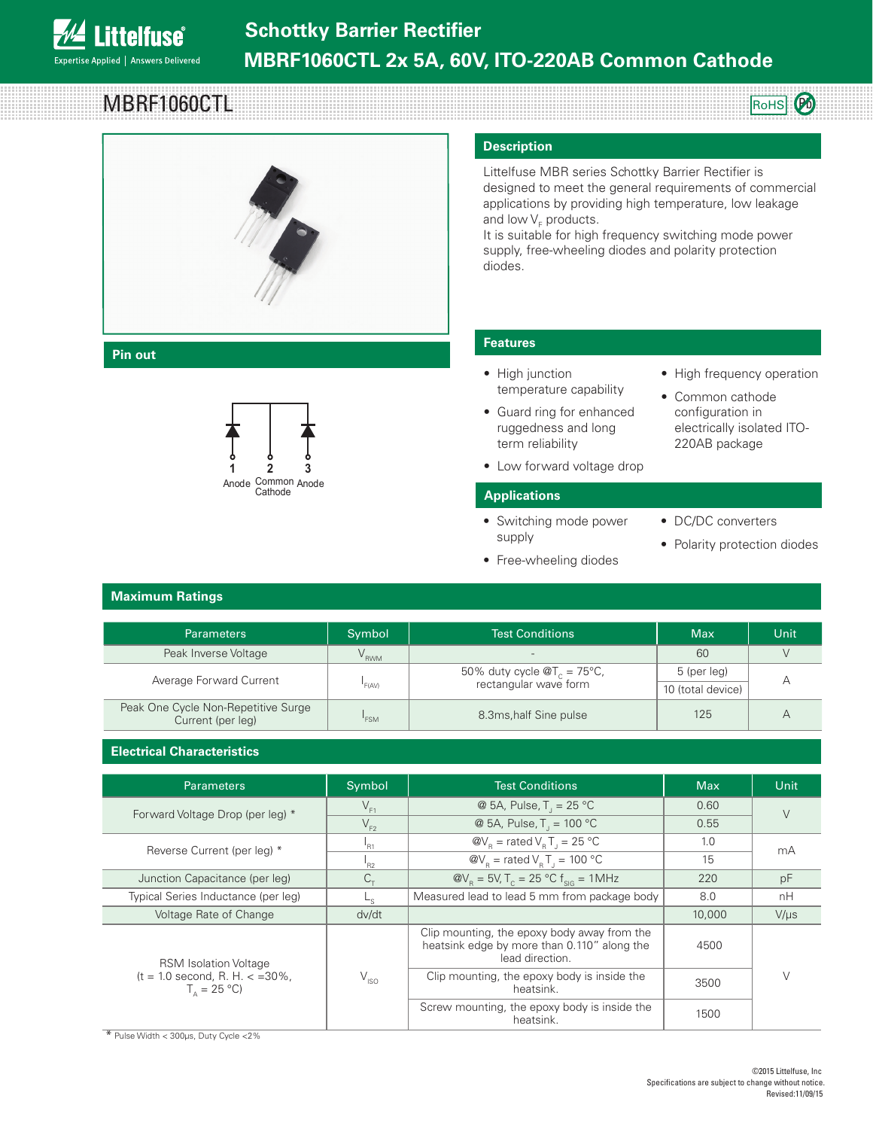

**MBRF1060CTI** 



### **Pin out**



### **Description**

Littelfuse MBR series Schottky Barrier Rectifier is designed to meet the general requirements of commercial applications by providing high temperature, low leakage and low V<sub>F</sub> products.

It is suitable for high frequency switching mode power supply, free-wheeling diodes and polarity protection diodes.

## **Features**

- High junction temperature capability
- Guard ring for enhanced ruggedness and long term reliability
- Low forward voltage drop

#### **Applications**

• Switching mode power supply

• Free-wheeling diodes

- DC/DC converters
- Polarity protection diodes

• High frequency operation

• Common cathode configuration in electrically isolated ITO-220AB package

RoHS **(Pb** 

**Maximum Ratings Heat sink**

| Parameters                                               | Symbol           | <b>Test Conditions</b>                                                          | Max               | Unit |
|----------------------------------------------------------|------------------|---------------------------------------------------------------------------------|-------------------|------|
| Peak Inverse Voltage                                     | V <sub>RWM</sub> | $\overline{\phantom{a}}$                                                        | 60                |      |
| Average Forward Current                                  | 'F(AV)           | 50% duty cycle $\mathcal{Q}T_c = 75^{\circ}\text{C}$ ,<br>rectangular wave form | 5 (per leg)       |      |
|                                                          |                  |                                                                                 | 10 (total device) |      |
| Peak One Cycle Non-Repetitive Surge<br>Current (per leg) | 'FSM             | 8.3ms, half Sine pulse                                                          | 125               |      |

# **Manuel Characteristics**

| <b>Parameters</b>                                                                     | Symbol             | <b>Test Conditions</b>                                                                                        | <b>Max</b> | Unit      |
|---------------------------------------------------------------------------------------|--------------------|---------------------------------------------------------------------------------------------------------------|------------|-----------|
| Forward Voltage Drop (per leg) *                                                      | $V_{F1}$           | @ 5A, Pulse, $T_1 = 25 °C$                                                                                    | 0.60       |           |
|                                                                                       | $V_{F2}$           | @ 5A, Pulse, $T_1 = 100 °C$                                                                                   | 0.55       |           |
| Reverse Current (per leg) *                                                           | $n_{R1}$           | $\mathcal{Q}V_{\rm B}$ = rated $V_{\rm B}T_{\rm B} = 25 \text{ }^{\circ}\text{C}$                             | 1.0        | mA        |
|                                                                                       | $n_{R2}$           | $\mathcal{Q}V_{\rm B}$ = rated $V_{\rm B}T_{\rm J}$ = 100 °C                                                  | 15         |           |
| Junction Capacitance (per leg)                                                        | $C_{\tau}$         | $\omega_{\text{R}}$ = 5V, T <sub>c</sub> = 25 °C f <sub>siG</sub> = 1MHz                                      |            | pF        |
| Typical Series Inductance (per leg)                                                   | L <sub>s</sub>     | Measured lead to lead 5 mm from package body                                                                  |            | nH        |
| Voltage Rate of Change                                                                | dv/dt              |                                                                                                               | 10,000     | $V/\mu s$ |
| <b>RSM Isolation Voltage</b><br>$(t = 1.0$ second, R. H. $\lt$ =30%,<br>$T_a = 25 °C$ |                    | Clip mounting, the epoxy body away from the<br>heatsink edge by more than 0.110" along the<br>lead direction. | 4500       |           |
|                                                                                       | $V_{\mathsf{ISO}}$ | Clip mounting, the epoxy body is inside the<br>heatsink.                                                      | 3500       |           |
|                                                                                       |                    | Screw mounting, the epoxy body is inside the<br>heatsink.                                                     | 1500       |           |

\* Pulse Width < 300μs, Duty Cycle <2%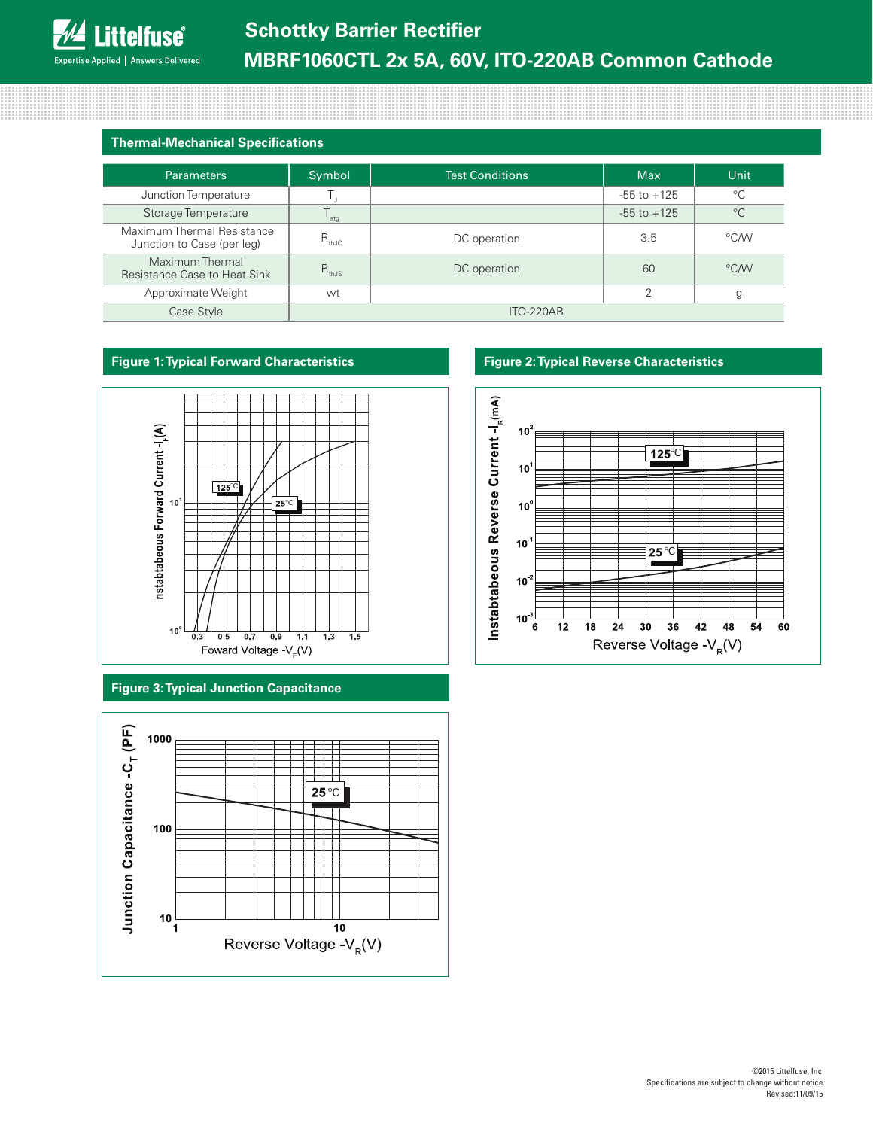| <b>Thermal-Mechanical Specifications</b> |  |
|------------------------------------------|--|
|                                          |  |

| <b>Parameters</b>                                        | Symbol           | <b>Test Conditions</b> | <b>Max</b>      | Unit          |
|----------------------------------------------------------|------------------|------------------------|-----------------|---------------|
| Junction Temperature                                     |                  |                        | $-55$ to $+125$ | $^{\circ}C$   |
| Storage Temperature                                      | stg              |                        | $-55$ to $+125$ | $^{\circ}C$   |
| Maximum Thermal Resistance<br>Junction to Case (per leg) | $R_{thJC}$       | DC operation           | 3.5             | °C/W          |
| Maximum Thermal<br>Resistance Case to Heat Sink          | $R_{thJS}$       | DC operation           | 60              | $\degree$ CMV |
| Approximate Weight                                       | wt               |                        | $\Omega$        | g             |
| Case Style                                               | <b>ITO-220AB</b> |                        |                 |               |

# **Figure 1: Typical Forward Characteristics**



**Figure 3: Typical Junction Capacitance**



# **Figure 2: Typical Reverse Characteristics**